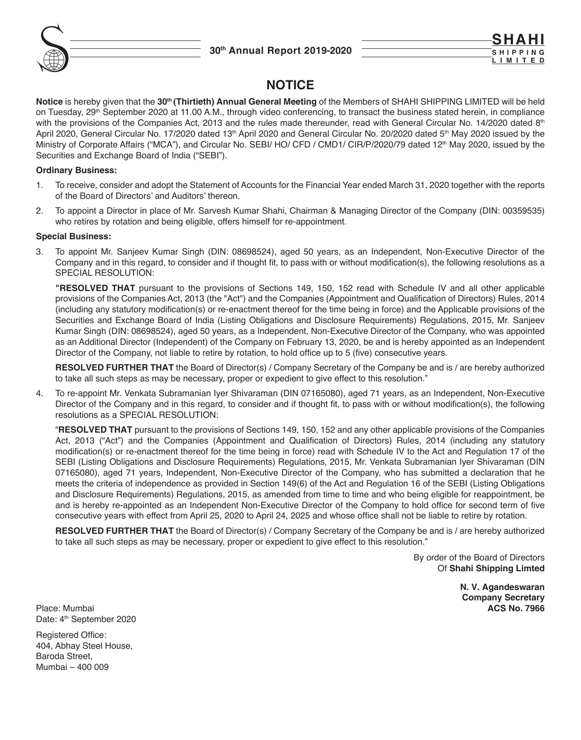

**SHAHI S H I P P I N G LIMITE** 

# **NOTICE**

**Notice** is hereby given that the **30th (Thirtieth) Annual General Meeting** of the Members of SHAHI SHIPPING LIMITED will be held on Tuesday, 29<sup>th</sup> September 2020 at 11.00 A.M., through video conferencing, to transact the business stated herein, in compliance with the provisions of the Companies Act, 2013 and the rules made thereunder, read with General Circular No. 14/2020 dated 8<sup>th</sup> April 2020, General Circular No. 17/2020 dated 13<sup>th</sup> April 2020 and General Circular No. 20/2020 dated 5<sup>th</sup> May 2020 issued by the Ministry of Corporate Affairs ("MCA"), and Circular No. SEBI/ HO/ CFD / CMD1/ CIR/P/2020/79 dated 12<sup>th</sup> May 2020, issued by the Securities and Exchange Board of India ("SEBI").

## **Ordinary Business:**

- 1. To receive, consider and adopt the Statement of Accounts for the Financial Year ended March 31, 2020 together with the reports of the Board of Directors' and Auditors' thereon.
- 2. To appoint a Director in place of Mr. Sarvesh Kumar Shahi, Chairman & Managing Director of the Company (DIN: 00359535) who retires by rotation and being eligible, offers himself for re-appointment.

## **Special Business:**

3. To appoint Mr. Sanjeev Kumar Singh (DIN: 08698524), aged 50 years, as an Independent, Non-Executive Director of the Company and in this regard, to consider and if thought fit, to pass with or without modification(s), the following resolutions as a SPECIAL RESOLUTION:

 **"RESOLVED THAT** pursuant to the provisions of Sections 149, 150, 152 read with Schedule IV and all other applicable provisions of the Companies Act, 2013 (the "Act") and the Companies (Appointment and Qualification of Directors) Rules, 2014 (including any statutory modification(s) or re-enactment thereof for the time being in force) and the Applicable provisions of the Securities and Exchange Board of India (Listing Obligations and Disclosure Requirements) Regulations, 2015, Mr. Sanjeev Kumar Singh (DIN: 08698524), aged 50 years, as a Independent, Non-Executive Director of the Company, who was appointed as an Additional Director (Independent) of the Company on February 13, 2020, be and is hereby appointed as an Independent Director of the Company, not liable to retire by rotation, to hold office up to 5 (five) consecutive years.

 **RESOLVED FURTHER THAT** the Board of Director(s) / Company Secretary of the Company be and is / are hereby authorized to take all such steps as may be necessary, proper or expedient to give effect to this resolution."

4. To re-appoint Mr. Venkata Subramanian Iyer Shivaraman (DIN 07165080), aged 71 years, as an Independent, Non-Executive Director of the Company and in this regard, to consider and if thought fit, to pass with or without modification(s), the following resolutions as a SPECIAL RESOLUTION:

 "**RESOLVED THAT** pursuant to the provisions of Sections 149, 150, 152 and any other applicable provisions of the Companies Act, 2013 ("Act") and the Companies (Appointment and Qualification of Directors) Rules, 2014 (including any statutory modification(s) or re-enactment thereof for the time being in force) read with Schedule IV to the Act and Regulation 17 of the SEBI (Listing Obligations and Disclosure Requirements) Regulations, 2015, Mr. Venkata Subramanian Iyer Shivaraman (DIN 07165080), aged 71 years, Independent, Non-Executive Director of the Company, who has submitted a declaration that he meets the criteria of independence as provided in Section 149(6) of the Act and Regulation 16 of the SEBI (Listing Obligations and Disclosure Requirements) Regulations, 2015, as amended from time to time and who being eligible for reappointment, be and is hereby re-appointed as an Independent Non-Executive Director of the Company to hold office for second term of five consecutive years with effect from April 25, 2020 to April 24, 2025 and whose office shall not be liable to retire by rotation.

 **RESOLVED FURTHER THAT** the Board of Director(s) / Company Secretary of the Company be and is / are hereby authorized to take all such steps as may be necessary, proper or expedient to give effect to this resolution."

> By order of the Board of Directors Of **Shahi Shipping Limted**

> > **N. V. Agandeswaran Company Secretary**

Place: Mumbai **ACS No. 7966** Date: 4<sup>th</sup> September 2020

Registered Office: 404, Abhay Steel House, Baroda Street, Mumbai – 400 009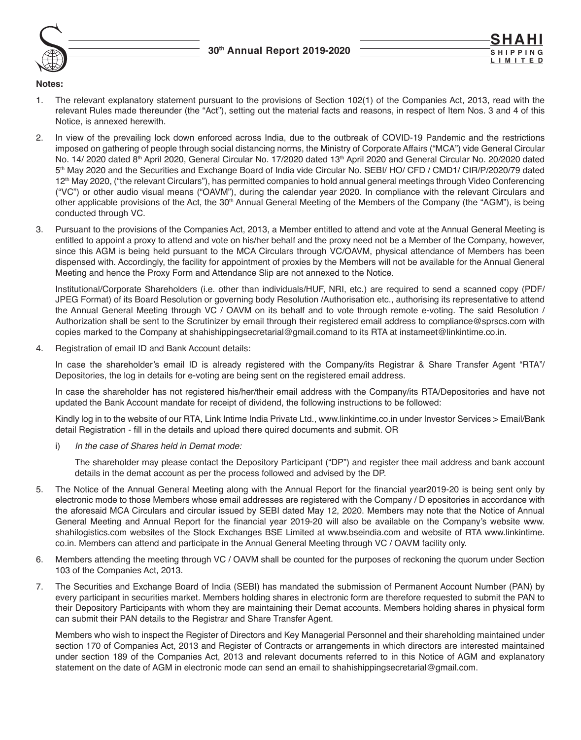

#### **Notes:**

- 1. The relevant explanatory statement pursuant to the provisions of Section 102(1) of the Companies Act, 2013, read with the relevant Rules made thereunder (the "Act"), setting out the material facts and reasons, in respect of Item Nos. 3 and 4 of this Notice, is annexed herewith.
- 2. In view of the prevailing lock down enforced across India, due to the outbreak of COVID-19 Pandemic and the restrictions imposed on gathering of people through social distancing norms, the Ministry of Corporate Affairs ("MCA") vide General Circular No. 14/ 2020 dated 8th April 2020, General Circular No. 17/2020 dated 13th April 2020 and General Circular No. 20/2020 dated 5<sup>th</sup> May 2020 and the Securities and Exchange Board of India vide Circular No. SEBI/ HO/ CFD / CMD1/ CIR/P/2020/79 dated 12<sup>th</sup> May 2020, ("the relevant Circulars"), has permitted companies to hold annual general meetings through Video Conferencing ("VC") or other audio visual means ("OAVM"), during the calendar year 2020. In compliance with the relevant Circulars and other applicable provisions of the Act, the 30<sup>th</sup> Annual General Meeting of the Members of the Company (the "AGM"), is being conducted through VC.
- 3. Pursuant to the provisions of the Companies Act, 2013, a Member entitled to attend and vote at the Annual General Meeting is entitled to appoint a proxy to attend and vote on his/her behalf and the proxy need not be a Member of the Company, however, since this AGM is being held pursuant to the MCA Circulars through VC/OAVM, physical attendance of Members has been dispensed with. Accordingly, the facility for appointment of proxies by the Members will not be available for the Annual General Meeting and hence the Proxy Form and Attendance Slip are not annexed to the Notice.

 Institutional/Corporate Shareholders (i.e. other than individuals/HUF, NRI, etc.) are required to send a scanned copy (PDF/ JPEG Format) of its Board Resolution or governing body Resolution /Authorisation etc., authorising its representative to attend the Annual General Meeting through VC / OAVM on its behalf and to vote through remote e-voting. The said Resolution / Authorization shall be sent to the Scrutinizer by email through their registered email address to compliance@sprscs.com with copies marked to the Company at shahishippingsecretarial@gmail.comand to its RTA at instameet@linkintime.co.in.

4. Registration of email ID and Bank Account details:

In case the shareholder's email ID is already registered with the Company/its Registrar & Share Transfer Agent "RTA"/ Depositories, the log in details for e-voting are being sent on the registered email address.

 In case the shareholder has not registered his/her/their email address with the Company/its RTA/Depositories and have not updated the Bank Account mandate for receipt of dividend, the following instructions to be followed:

 Kindly log in to the website of our RTA, Link Intime India Private Ltd., www.linkintime.co.in under Investor Services > Email/Bank detail Registration - fill in the details and upload there quired documents and submit. OR

i) *In the case of Shares held in Demat mode:*

 The shareholder may please contact the Depository Participant ("DP") and register thee mail address and bank account details in the demat account as per the process followed and advised by the DP.

- 5. The Notice of the Annual General Meeting along with the Annual Report for the financial year2019-20 is being sent only by electronic mode to those Members whose email addresses are registered with the Company / D epositories in accordance with the aforesaid MCA Circulars and circular issued by SEBI dated May 12, 2020. Members may note that the Notice of Annual General Meeting and Annual Report for the financial year 2019-20 will also be available on the Company's website www. shahilogistics.com websites of the Stock Exchanges BSE Limited at www.bseindia.com and website of RTA www.linkintime. co.in. Members can attend and participate in the Annual General Meeting through VC / OAVM facility only.
- 6. Members attending the meeting through VC / OAVM shall be counted for the purposes of reckoning the quorum under Section 103 of the Companies Act, 2013.
- 7. The Securities and Exchange Board of India (SEBI) has mandated the submission of Permanent Account Number (PAN) by every participant in securities market. Members holding shares in electronic form are therefore requested to submit the PAN to their Depository Participants with whom they are maintaining their Demat accounts. Members holding shares in physical form can submit their PAN details to the Registrar and Share Transfer Agent.

 Members who wish to inspect the Register of Directors and Key Managerial Personnel and their shareholding maintained under section 170 of Companies Act, 2013 and Register of Contracts or arrangements in which directors are interested maintained under section 189 of the Companies Act, 2013 and relevant documents referred to in this Notice of AGM and explanatory statement on the date of AGM in electronic mode can send an email to shahishippingsecretarial@gmail.com.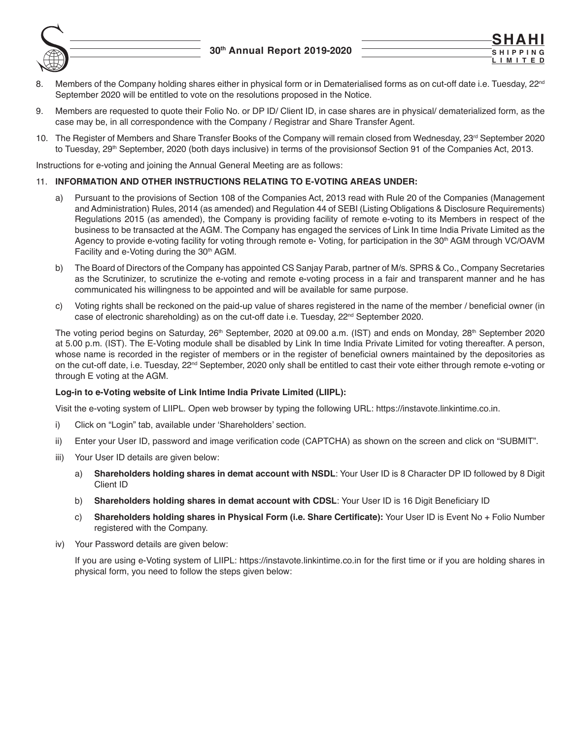

8. Members of the Company holding shares either in physical form or in Dematerialised forms as on cut-off date i.e. Tuesday, 22<sup>nd</sup> September 2020 will be entitled to vote on the resolutions proposed in the Notice.

**SHAHI S H I P P I N G LIMITED**

- 9. Members are requested to quote their Folio No. or DP ID/ Client ID, in case shares are in physical/ dematerialized form, as the case may be, in all correspondence with the Company / Registrar and Share Transfer Agent.
- 10. The Register of Members and Share Transfer Books of the Company will remain closed from Wednesday, 23<sup>rd</sup> September 2020 to Tuesday, 29<sup>th</sup> September, 2020 (both days inclusive) in terms of the provisionsof Section 91 of the Companies Act, 2013.

Instructions for e-voting and joining the Annual General Meeting are as follows:

## 11. **INFORMATION AND OTHER INSTRUCTIONS RELATING TO E-VOTING AREAS UNDER:**

- a) Pursuant to the provisions of Section 108 of the Companies Act, 2013 read with Rule 20 of the Companies (Management and Administration) Rules, 2014 (as amended) and Regulation 44 of SEBI (Listing Obligations & Disclosure Requirements) Regulations 2015 (as amended), the Company is providing facility of remote e-voting to its Members in respect of the business to be transacted at the AGM. The Company has engaged the services of Link In time India Private Limited as the Agency to provide e-voting facility for voting through remote e- Voting, for participation in the 30<sup>th</sup> AGM through VC/OAVM Facility and e-Voting during the 30<sup>th</sup> AGM.
- b) The Board of Directors of the Company has appointed CS Sanjay Parab, partner of M/s. SPRS & Co., Company Secretaries as the Scrutinizer, to scrutinize the e-voting and remote e-voting process in a fair and transparent manner and he has communicated his willingness to be appointed and will be available for same purpose.
- c) Voting rights shall be reckoned on the paid-up value of shares registered in the name of the member / beneficial owner (in case of electronic shareholding) as on the cut-off date i.e. Tuesday,  $22<sup>nd</sup>$  September 2020.

The voting period begins on Saturday, 26<sup>th</sup> September, 2020 at 09.00 a.m. (IST) and ends on Monday, 28<sup>th</sup> September 2020 at 5.00 p.m. (IST). The E-Voting module shall be disabled by Link In time India Private Limited for voting thereafter. A person, whose name is recorded in the register of members or in the register of beneficial owners maintained by the depositories as on the cut-off date, i.e. Tuesday, 22nd September, 2020 only shall be entitled to cast their vote either through remote e-voting or through E voting at the AGM.

## **Log-in to e-Voting website of Link Intime India Private Limited (LIIPL):**

Visit the e-voting system of LIIPL. Open web browser by typing the following URL: https://instavote.linkintime.co.in.

- i) Click on "Login" tab, available under 'Shareholders' section.
- ii) Enter your User ID, password and image verification code (CAPTCHA) as shown on the screen and click on "SUBMIT".
- iii) Your User ID details are given below:
	- a) **Shareholders holding shares in demat account with NSDL**: Your User ID is 8 Character DP ID followed by 8 Digit Client ID
	- b) **Shareholders holding shares in demat account with CDSL**: Your User ID is 16 Digit Beneficiary ID
	- c) **Shareholders holding shares in Physical Form (i.e. Share Certificate):** Your User ID is Event No + Folio Number registered with the Company.
- iv) Your Password details are given below:

If you are using e-Voting system of LIIPL: https://instavote.linkintime.co.in for the first time or if you are holding shares in physical form, you need to follow the steps given below: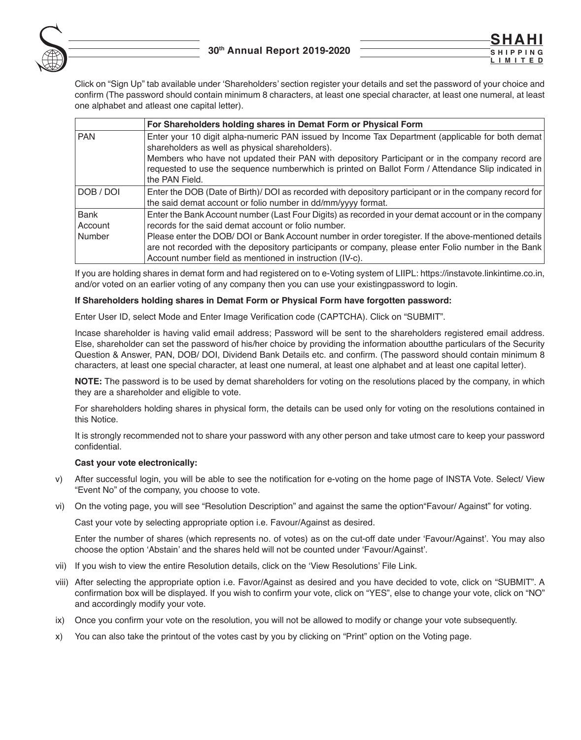

**SHAHI S H I P P I N G LIMITED**

 Click on "Sign Up" tab available under 'Shareholders' section register your details and set the password of your choice and confirm (The password should contain minimum 8 characters, at least one special character, at least one numeral, at least one alphabet and atleast one capital letter).

|            | For Shareholders holding shares in Demat Form or Physical Form                                                                                                                                                                                                                                                                                                |
|------------|---------------------------------------------------------------------------------------------------------------------------------------------------------------------------------------------------------------------------------------------------------------------------------------------------------------------------------------------------------------|
| <b>PAN</b> | Enter your 10 digit alpha-numeric PAN issued by Income Tax Department (applicable for both demat)<br>shareholders as well as physical shareholders).<br>Members who have not updated their PAN with depository Participant or in the company record are<br>requested to use the sequence numberwhich is printed on Ballot Form / Attendance Slip indicated in |
|            | the PAN Field.                                                                                                                                                                                                                                                                                                                                                |
| DOB / DOI  | Enter the DOB (Date of Birth)/ DOI as recorded with depository participant or in the company record for                                                                                                                                                                                                                                                       |
|            | the said demat account or folio number in dd/mm/yyyy format.                                                                                                                                                                                                                                                                                                  |
| Bank       | Enter the Bank Account number (Last Four Digits) as recorded in your demat account or in the company                                                                                                                                                                                                                                                          |
| Account    | records for the said demat account or folio number.                                                                                                                                                                                                                                                                                                           |
| Number     | Please enter the DOB/DOI or Bank Account number in order toregister. If the above-mentioned details<br>are not recorded with the depository participants or company, please enter Folio number in the Bank<br>Account number field as mentioned in instruction (IV-c).                                                                                        |

 If you are holding shares in demat form and had registered on to e-Voting system of LIIPL: https://instavote.linkintime.co.in, and/or voted on an earlier voting of any company then you can use your existingpassword to login.

#### **If Shareholders holding shares in Demat Form or Physical Form have forgotten password:**

Enter User ID, select Mode and Enter Image Verification code (CAPTCHA). Click on "SUBMIT".

 Incase shareholder is having valid email address; Password will be sent to the shareholders registered email address. Else, shareholder can set the password of his/her choice by providing the information aboutthe particulars of the Security Question & Answer, PAN, DOB/ DOI, Dividend Bank Details etc. and confirm. (The password should contain minimum 8 characters, at least one special character, at least one numeral, at least one alphabet and at least one capital letter).

 **NOTE:** The password is to be used by demat shareholders for voting on the resolutions placed by the company, in which they are a shareholder and eligible to vote.

 For shareholders holding shares in physical form, the details can be used only for voting on the resolutions contained in this Notice.

 It is strongly recommended not to share your password with any other person and take utmost care to keep your password confidential.

#### **Cast your vote electronically:**

- v) After successful login, you will be able to see the notification for e-voting on the home page of INSTA Vote. Select/ View "Event No" of the company, you choose to vote.
- vi) On the voting page, you will see "Resolution Description" and against the same the option"Favour/ Against" for voting.

Cast your vote by selecting appropriate option i.e. Favour/Against as desired.

 Enter the number of shares (which represents no. of votes) as on the cut-off date under 'Favour/Against'. You may also choose the option 'Abstain' and the shares held will not be counted under 'Favour/Against'.

- vii) If you wish to view the entire Resolution details, click on the 'View Resolutions' File Link.
- viii) After selecting the appropriate option i.e. Favor/Against as desired and you have decided to vote, click on "SUBMIT". A confirmation box will be displayed. If you wish to confirm your vote, click on "YES", else to change your vote, click on "NO" and accordingly modify your vote.
- ix) Once you confirm your vote on the resolution, you will not be allowed to modify or change your vote subsequently.
- x) You can also take the printout of the votes cast by you by clicking on "Print" option on the Voting page.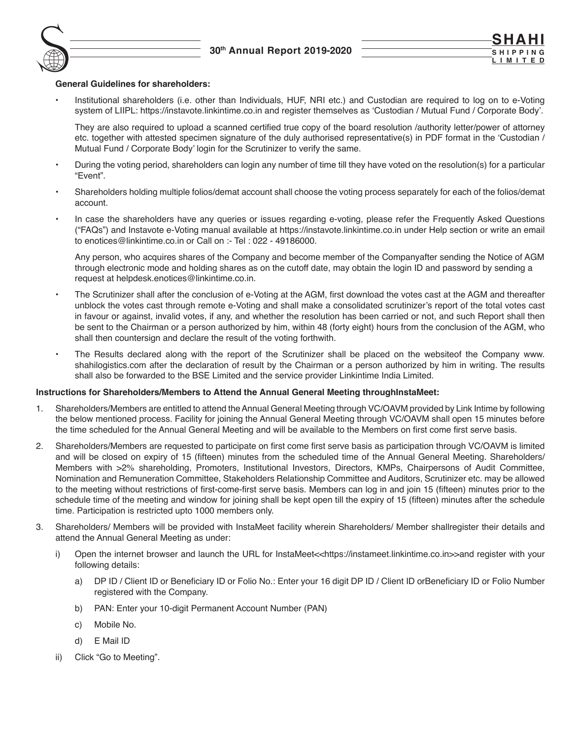

### **General Guidelines for shareholders:**

• Institutional shareholders (i.e. other than Individuals, HUF, NRI etc.) and Custodian are required to log on to e-Voting system of LIIPL: https://instavote.linkintime.co.in and register themselves as 'Custodian / Mutual Fund / Corporate Body'.

They are also required to upload a scanned certified true copy of the board resolution /authority letter/power of attorney etc. together with attested specimen signature of the duly authorised representative(s) in PDF format in the 'Custodian / Mutual Fund / Corporate Body' login for the Scrutinizer to verify the same.

- During the voting period, shareholders can login any number of time till they have voted on the resolution(s) for a particular "Event".
- Shareholders holding multiple folios/demat account shall choose the voting process separately for each of the folios/demat account.
- In case the shareholders have any queries or issues regarding e-voting, please refer the Frequently Asked Questions ("FAQs") and Instavote e-Voting manual available at https://instavote.linkintime.co.in under Help section or write an email to enotices@linkintime.co.in or Call on :- Tel : 022 - 49186000.

 Any person, who acquires shares of the Company and become member of the Companyafter sending the Notice of AGM through electronic mode and holding shares as on the cutoff date, may obtain the login ID and password by sending a request at helpdesk.enotices@linkintime.co.in.

- The Scrutinizer shall after the conclusion of e-Voting at the AGM, first download the votes cast at the AGM and thereafter unblock the votes cast through remote e-Voting and shall make a consolidated scrutinizer's report of the total votes cast in favour or against, invalid votes, if any, and whether the resolution has been carried or not, and such Report shall then be sent to the Chairman or a person authorized by him, within 48 (forty eight) hours from the conclusion of the AGM, who shall then countersign and declare the result of the voting forthwith.
- The Results declared along with the report of the Scrutinizer shall be placed on the websiteof the Company www. shahilogistics.com after the declaration of result by the Chairman or a person authorized by him in writing. The results shall also be forwarded to the BSE Limited and the service provider Linkintime India Limited.

## **Instructions for Shareholders/Members to Attend the Annual General Meeting throughInstaMeet:**

- 1. Shareholders/Members are entitled to attend the Annual General Meeting through VC/OAVM provided by Link Intime by following the below mentioned process. Facility for joining the Annual General Meeting through VC/OAVM shall open 15 minutes before the time scheduled for the Annual General Meeting and will be available to the Members on first come first serve basis.
- 2. Shareholders/Members are requested to participate on first come first serve basis as participation through VC/OAVM is limited and will be closed on expiry of 15 (fifteen) minutes from the scheduled time of the Annual General Meeting. Shareholders/ Members with >2% shareholding, Promoters, Institutional Investors, Directors, KMPs, Chairpersons of Audit Committee, Nomination and Remuneration Committee, Stakeholders Relationship Committee and Auditors, Scrutinizer etc. may be allowed to the meeting without restrictions of first-come-first serve basis. Members can log in and join 15 (fifteen) minutes prior to the schedule time of the meeting and window for joining shall be kept open till the expiry of 15 (fifteen) minutes after the schedule time. Participation is restricted upto 1000 members only.
- 3. Shareholders/ Members will be provided with InstaMeet facility wherein Shareholders/ Member shallregister their details and attend the Annual General Meeting as under:
	- i) Open the internet browser and launch the URL for InstaMeet<<https://instameet.linkintime.co.in>>and register with your following details:
		- a) DP ID / Client ID or Beneficiary ID or Folio No.: Enter your 16 digit DP ID / Client ID orBeneficiary ID or Folio Number registered with the Company.
		- b) PAN: Enter your 10-digit Permanent Account Number (PAN)
		- c) Mobile No.
		- d) E Mail ID
	- ii) Click "Go to Meeting".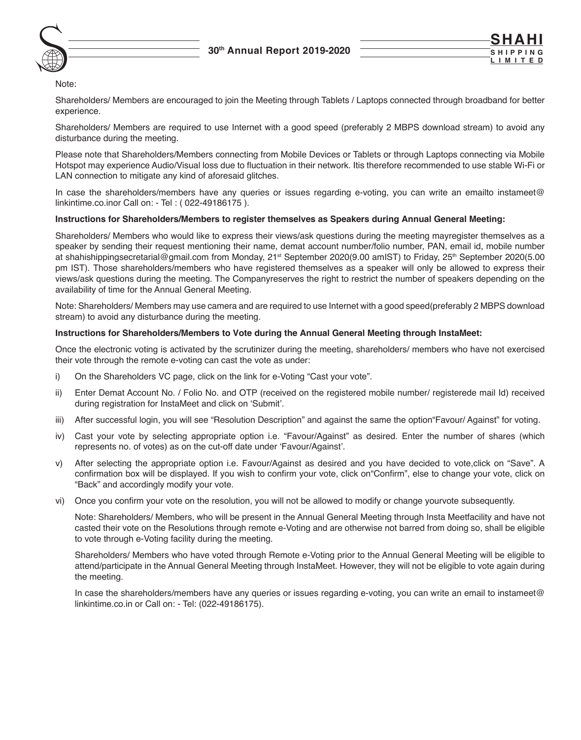



Note:

 Shareholders/ Members are encouraged to join the Meeting through Tablets / Laptops connected through broadband for better experience.

 Shareholders/ Members are required to use Internet with a good speed (preferably 2 MBPS download stream) to avoid any disturbance during the meeting.

 Please note that Shareholders/Members connecting from Mobile Devices or Tablets or through Laptops connecting via Mobile Hotspot may experience Audio/Visual loss due to fluctuation in their network. Itis therefore recommended to use stable Wi-Fi or LAN connection to mitigate any kind of aforesaid glitches.

 In case the shareholders/members have any queries or issues regarding e-voting, you can write an emailto instameet@ linkintime.co.inor Call on: - Tel : ( 022-49186175 ).

## **Instructions for Shareholders/Members to register themselves as Speakers during Annual General Meeting:**

 Shareholders/ Members who would like to express their views/ask questions during the meeting mayregister themselves as a speaker by sending their request mentioning their name, demat account number/folio number, PAN, email id, mobile number at shahishippingsecretarial@gmail.com from Monday, 21<sup>st</sup> September 2020(9.00 amIST) to Friday, 25<sup>th</sup> September 2020(5.00 pm IST). Those shareholders/members who have registered themselves as a speaker will only be allowed to express their views/ask questions during the meeting. The Companyreserves the right to restrict the number of speakers depending on the availability of time for the Annual General Meeting.

 Note: Shareholders/ Members may use camera and are required to use Internet with a good speed(preferably 2 MBPS download stream) to avoid any disturbance during the meeting.

## **Instructions for Shareholders/Members to Vote during the Annual General Meeting through InstaMeet:**

 Once the electronic voting is activated by the scrutinizer during the meeting, shareholders/ members who have not exercised their vote through the remote e-voting can cast the vote as under:

- i) On the Shareholders VC page, click on the link for e-Voting "Cast your vote".
- ii) Enter Demat Account No. / Folio No. and OTP (received on the registered mobile number/ registerede mail Id) received during registration for InstaMeet and click on 'Submit'.
- iii) After successful login, you will see "Resolution Description" and against the same the option"Favour/ Against" for voting.
- iv) Cast your vote by selecting appropriate option i.e. "Favour/Against" as desired. Enter the number of shares (which represents no. of votes) as on the cut-off date under 'Favour/Against'.
- v) After selecting the appropriate option i.e. Favour/Against as desired and you have decided to vote,click on "Save". A confirmation box will be displayed. If you wish to confirm your vote, click on"Confirm", else to change your vote, click on "Back" and accordingly modify your vote.
- vi) Once you confirm your vote on the resolution, you will not be allowed to modify or change yourvote subsequently.

 Note: Shareholders/ Members, who will be present in the Annual General Meeting through Insta Meetfacility and have not casted their vote on the Resolutions through remote e-Voting and are otherwise not barred from doing so, shall be eligible to vote through e-Voting facility during the meeting.

 Shareholders/ Members who have voted through Remote e-Voting prior to the Annual General Meeting will be eligible to attend/participate in the Annual General Meeting through InstaMeet. However, they will not be eligible to vote again during the meeting.

 In case the shareholders/members have any queries or issues regarding e-voting, you can write an email to instameet@ linkintime.co.in or Call on: - Tel: (022-49186175).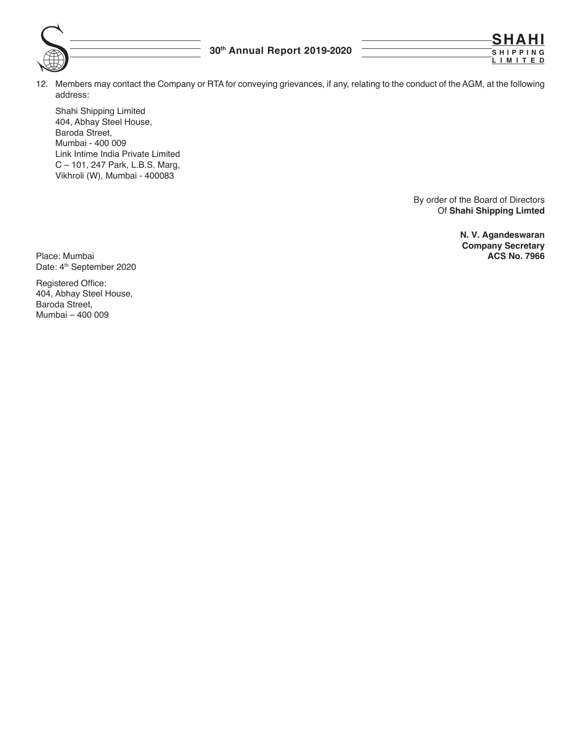12. Members may contact the Company or RTA for conveying grievances, if any, relating to the conduct of the AGM, at the following address:

Shahi Shipping Limited 404, Abhay Steel House, Baroda Street, Mumbai - 400 009 Link Intime India Private Limited C – 101, 247 Park, L.B.S. Marg, Vikhroli (W), Mumbai - 400083

> By order of the Board of Directors Of **Shahi Shipping Limted**

> > **N. V. Agandeswaran Company Secretary**

**SHAHI S H I P P I N G LIMITED**

Place: Mumbai **ACS No. 7966** Date: 4<sup>th</sup> September 2020

Registered Office: 404, Abhay Steel House, Baroda Street, Mumbai – 400 009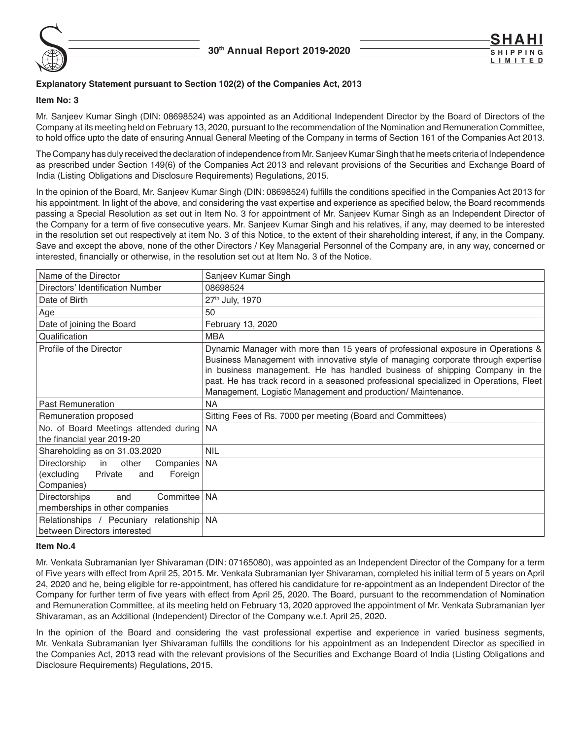

## **Explanatory Statement pursuant to Section 102(2) of the Companies Act, 2013**

**Item No: 3**

Mr. Sanjeev Kumar Singh (DIN: 08698524) was appointed as an Additional Independent Director by the Board of Directors of the Company at its meeting held on February 13, 2020, pursuant to the recommendation of the Nomination and Remuneration Committee, to hold office upto the date of ensuring Annual General Meeting of the Company in terms of Section 161 of the Companies Act 2013.

The Company has duly received the declaration of independence from Mr. Sanjeev Kumar Singh that he meets criteria of Independence as prescribed under Section 149(6) of the Companies Act 2013 and relevant provisions of the Securities and Exchange Board of India (Listing Obligations and Disclosure Requirements) Regulations, 2015.

In the opinion of the Board, Mr. Sanjeev Kumar Singh (DIN: 08698524) fulfills the conditions specified in the Companies Act 2013 for his appointment. In light of the above, and considering the vast expertise and experience as specified below, the Board recommends passing a Special Resolution as set out in Item No. 3 for appointment of Mr. Sanjeev Kumar Singh as an Independent Director of the Company for a term of five consecutive years. Mr. Sanjeev Kumar Singh and his relatives, if any, may deemed to be interested in the resolution set out respectively at item No. 3 of this Notice, to the extent of their shareholding interest, if any, in the Company. Save and except the above, none of the other Directors / Key Managerial Personnel of the Company are, in any way, concerned or interested, financially or otherwise, in the resolution set out at Item No. 3 of the Notice.

| Name of the Director                                                                                   | Sanjeev Kumar Singh                                                                                                                                                                                                                                                                                                                                                                                          |
|--------------------------------------------------------------------------------------------------------|--------------------------------------------------------------------------------------------------------------------------------------------------------------------------------------------------------------------------------------------------------------------------------------------------------------------------------------------------------------------------------------------------------------|
| Directors' Identification Number                                                                       | 08698524                                                                                                                                                                                                                                                                                                                                                                                                     |
| Date of Birth                                                                                          | 27th July, 1970                                                                                                                                                                                                                                                                                                                                                                                              |
| Age                                                                                                    | 50                                                                                                                                                                                                                                                                                                                                                                                                           |
| Date of joining the Board                                                                              | February 13, 2020                                                                                                                                                                                                                                                                                                                                                                                            |
| Qualification                                                                                          | <b>MBA</b>                                                                                                                                                                                                                                                                                                                                                                                                   |
| Profile of the Director                                                                                | Dynamic Manager with more than 15 years of professional exposure in Operations &<br>Business Management with innovative style of managing corporate through expertise<br>in business management. He has handled business of shipping Company in the<br>past. He has track record in a seasoned professional specialized in Operations, Fleet<br>Management, Logistic Management and production/ Maintenance. |
| <b>Past Remuneration</b>                                                                               | <b>NA</b>                                                                                                                                                                                                                                                                                                                                                                                                    |
| Remuneration proposed                                                                                  | Sitting Fees of Rs. 7000 per meeting (Board and Committees)                                                                                                                                                                                                                                                                                                                                                  |
| No. of Board Meetings attended during NA<br>the financial year 2019-20                                 |                                                                                                                                                                                                                                                                                                                                                                                                              |
| Shareholding as on 31.03.2020                                                                          | <b>NIL</b>                                                                                                                                                                                                                                                                                                                                                                                                   |
| Directorship<br>Companies   NA<br>in<br>other<br>(excluding<br>Private<br>Foreign<br>and<br>Companies) |                                                                                                                                                                                                                                                                                                                                                                                                              |
| Committee   NA<br><b>Directorships</b><br>and<br>memberships in other companies                        |                                                                                                                                                                                                                                                                                                                                                                                                              |
| Relationships / Pecuniary relationship NA<br>between Directors interested                              |                                                                                                                                                                                                                                                                                                                                                                                                              |

## **Item No.4**

Mr. Venkata Subramanian Iyer Shivaraman (DIN: 07165080), was appointed as an Independent Director of the Company for a term of Five years with effect from April 25, 2015. Mr. Venkata Subramanian Iyer Shivaraman, completed his initial term of 5 years on April 24, 2020 and he, being eligible for re-appointment, has offered his candidature for re-appointment as an Independent Director of the Company for further term of five years with effect from April 25, 2020. The Board, pursuant to the recommendation of Nomination and Remuneration Committee, at its meeting held on February 13, 2020 approved the appointment of Mr. Venkata Subramanian Iyer Shivaraman, as an Additional (Independent) Director of the Company w.e.f. April 25, 2020.

In the opinion of the Board and considering the vast professional expertise and experience in varied business segments, Mr. Venkata Subramanian Iyer Shivaraman fulfills the conditions for his appointment as an Independent Director as specified in the Companies Act, 2013 read with the relevant provisions of the Securities and Exchange Board of India (Listing Obligations and Disclosure Requirements) Regulations, 2015.